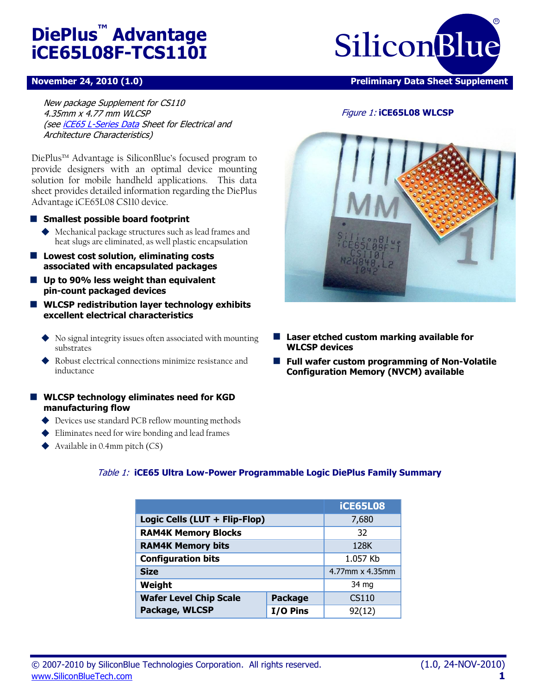# **DiePlus™ Advantage iCE65L08F-TCS110I**

#### **November 24, 2010 (1.0) Preliminary Data Sheet Supplement**

**SiliconBlue** R

Figure 1: **iCE65L08 WLCSP**

New package Supplement for CS110 4.35mm x 4.77 mm WLCSP (se[e iCE65 L-Series Data](http://www.siliconbluetech.com/media/downloads/iCE65datasheet.pdf) Sheet for Electrical and Architecture Characteristics)

DiePlus™ Advantage is SiliconBlue's focused program to provide designers with an optimal device mounting solution for mobile handheld applications. This data sheet provides detailed information regarding the DiePlus Advantage iCE65L08 CS110 device.

#### **Smallest possible board footprint**

 Mechanical package structures such as lead frames and heat slugs are eliminated, as well plastic encapsulation

- **Lowest cost solution, eliminating costs associated with encapsulated packages**
- **Up to 90% less weight than equivalent pin-count packaged devices**
- **WLCSP redistribution layer technology exhibits excellent electrical characteristics**
	- No signal integrity issues often associated with mounting substrates
	- Robust electrical connections minimize resistance and inductance
- **WLCSP technology eliminates need for KGD manufacturing flow**
	- ◆ Devices use standard PCB reflow mounting methods
	- Eliminates need for wire bonding and lead frames
	- Available in  $0.4$ mm pitch  $(CS)$

#### **Laser etched custom marking available for WLCSP devices**

**Full wafer custom programming of Non-Volatile Configuration Memory (NVCM) available**

|                                                 |  | <b>iCE65L08</b> |
|-------------------------------------------------|--|-----------------|
| Logic Cells (LUT + Flip-Flop)                   |  | 7,680           |
| <b>RAM4K Memory Blocks</b>                      |  | 32              |
| <b>RAM4K Memory bits</b>                        |  | 128K            |
| <b>Configuration bits</b>                       |  | 1.057 Kb        |
| <b>Size</b>                                     |  | 4.77mm x 4.35mm |
| Weight                                          |  | 34 mg           |
| <b>Wafer Level Chip Scale</b><br><b>Package</b> |  | CS110           |
| Package, WLCSP<br>I/O Pins                      |  | 92(12)          |

#### Table 1: **iCE65 Ultra Low-Power Programmable Logic DiePlus Family Summary**

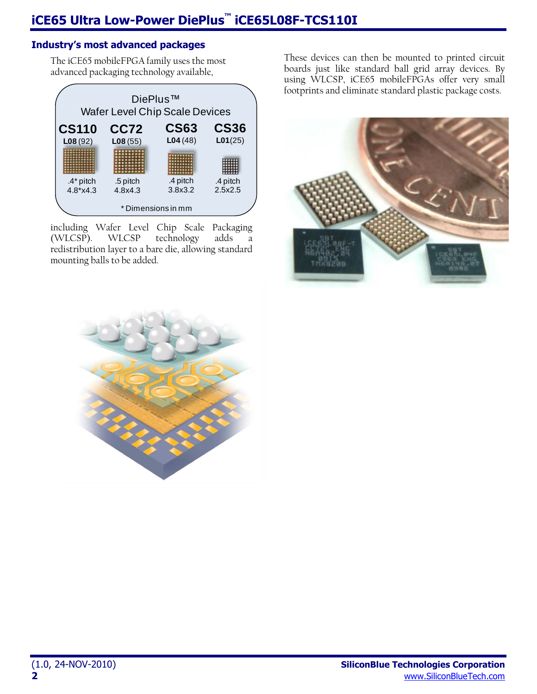### **Industry's most advanced packages**

The iCE65 mobileFPGA family uses the most advanced packaging technology available,



including Wafer Level Chip Scale Packaging<br>(WLCSP). WLCSP technology adds a (WLCSP). WLCSP technology adds a redistribution layer to a bare die, allowing standard mounting balls to be added.



These devices can then be mounted to printed circuit boards just like standard ball grid array devices. By using WLCSP, iCE65 mobileFPGAs offer very small footprints and eliminate standard plastic package costs.

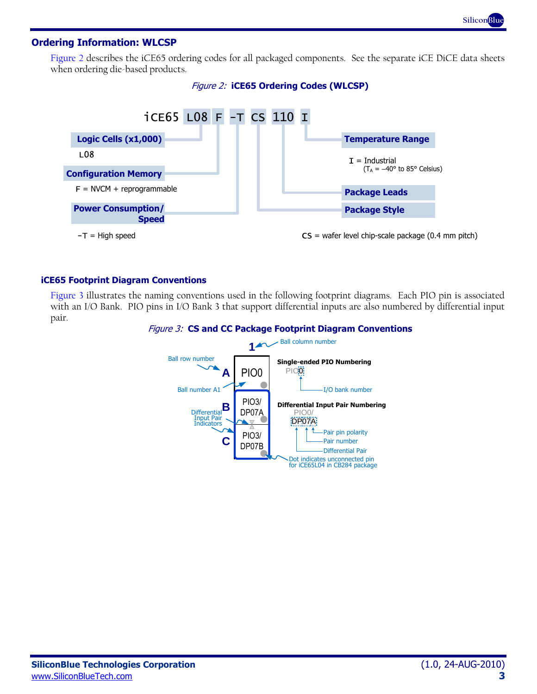#### **Ordering Information: WLCSP**

[Figure 2](#page-2-0) describes the iCE65 ordering codes for all packaged components. See the separate iCE DiCE data sheets when ordering die-based products.



<span id="page-2-0"></span>

#### **iCE65 Footprint Diagram Conventions**

<span id="page-2-1"></span>[Figure 3](#page-2-1) illustrates the naming conventions used in the following footprint diagrams. Each PIO pin is associated with an I/O Bank. PIO pins in I/O Bank 3 that support differential inputs are also numbered by differential input pair.



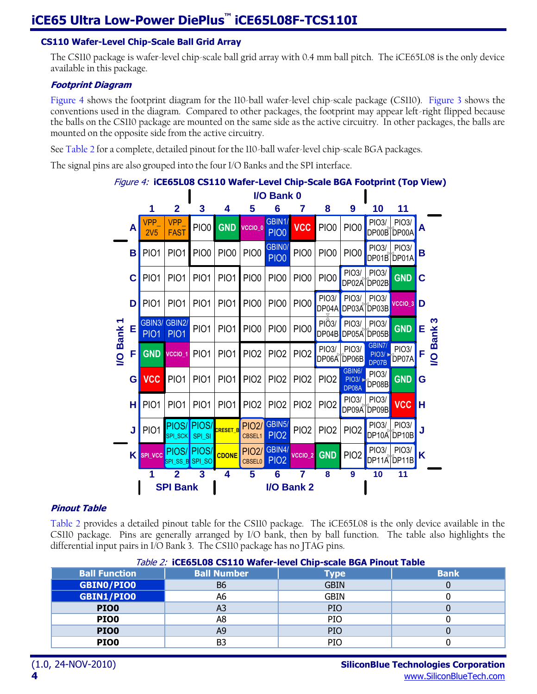#### **CS110 Wafer-Level Chip-Scale Ball Grid Array**

The CS110 package is wafer-level chip-scale ball grid array with 0.4 mm ball pitch. The iCE65L08 is the only device available in this package.

#### **Footprint Diagram**

[Figure 4](#page-3-0) shows the footprint diagram for the 110-ball wafer-level chip-scale package (CS110). [Figure 3](#page-2-1) shows the conventions used in the diagram. Compared to other packages, the footprint may appear left-right flipped because the balls on the CS110 package are mounted on the same side as the active circuitry. In other packages, the balls are mounted on the opposite side from the active circuitry.

See [Table 2](#page-3-1) for a complete, detailed pinout for the 110-ball wafer-level chip-scale BGA packages.

<span id="page-3-0"></span>The signal pins are also grouped into the four I/O Banks and the SPI interface.



#### **Pinout Table**

[Table 2](#page-3-1) provides a detailed pinout table for the CS110 package. The iCE65L08 is the only device available in the CS110 package. Pins are generally arranged by I/O bank, then by ball function. The table also highlights the differential input pairs in I/O Bank 3. The CS110 package has no JTAG pins.

<span id="page-3-1"></span>

| <i>lable 2:</i> iCE65L08 CS110 Wafer-level Chip-scale BGA Pinout Table |                    |             |             |  |
|------------------------------------------------------------------------|--------------------|-------------|-------------|--|
| <b>Ball Function</b>                                                   | <b>Ball Number</b> | <b>Type</b> | <b>Bank</b> |  |
| <b>GBINO/PIOO</b>                                                      | B6                 | <b>GBIN</b> |             |  |
| <b>GBIN1/PIO0</b>                                                      | А6                 | <b>GBIN</b> |             |  |
| PIO <sub>0</sub>                                                       | A3                 | PIO         |             |  |
| PIO0                                                                   | A8                 | <b>PIO</b>  |             |  |
| PIO0                                                                   | A9                 | <b>PIO</b>  |             |  |
| PIO0                                                                   | B3                 | PIO         |             |  |

#### Table 2: **iCE65L08 CS110 Wafer-level Chip-scale BGA Pinout Table**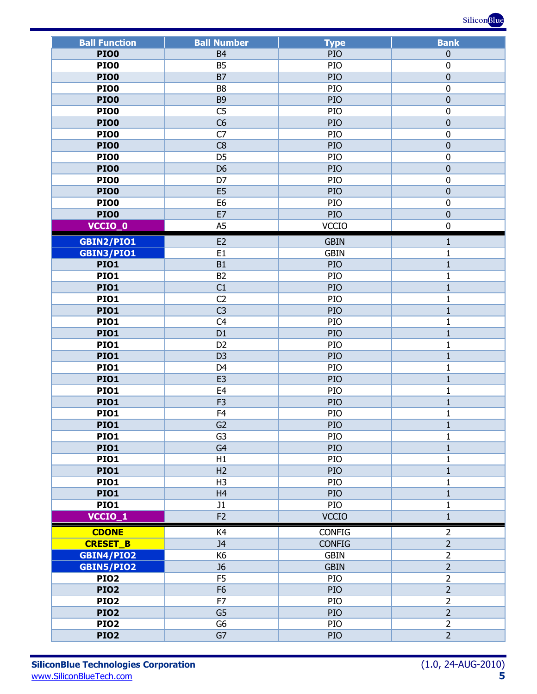

| <b>Ball Function</b> | <b>Ball Number</b>               |                       | <b>Bank</b>                  |
|----------------------|----------------------------------|-----------------------|------------------------------|
| <b>PIO0</b>          | B <sub>4</sub>                   | <b>Type</b><br>PIO    | $\boldsymbol{0}$             |
| <b>PIO0</b>          | <b>B5</b>                        | PIO                   | $\boldsymbol{0}$             |
| <b>PIO0</b>          | B7                               | PIO                   | $\mathbf 0$                  |
|                      |                                  |                       |                              |
| <b>PIO0</b>          | B <sub>8</sub>                   | PIO                   | $\mathbf 0$                  |
| <b>PIO0</b>          | B <sub>9</sub>                   | PIO                   | $\boldsymbol{0}$             |
| <b>PIO0</b>          | C <sub>5</sub>                   | PIO                   | $\mathbf 0$                  |
| <b>PIO0</b>          | C6                               | PIO                   | $\mathbf 0$                  |
| <b>PIO0</b>          | $\overline{C7}$                  | PIO                   | $\boldsymbol{0}$             |
| <b>PIO0</b>          | C8                               | PIO                   | $\mathbf 0$                  |
| <b>PIO0</b>          | D <sub>5</sub>                   | PIO                   | $\mathbf 0$                  |
| <b>PIO0</b>          | D <sub>6</sub>                   | PIO                   | $\boldsymbol{0}$             |
| <b>PIO0</b>          | D7                               | PIO                   | $\mathbf 0$                  |
| <b>PIO0</b>          | E <sub>5</sub>                   | PIO                   | $\mathbf 0$                  |
| <b>PIO0</b>          | E <sub>6</sub>                   | PIO                   | $\mathbf 0$                  |
| <b>PIO0</b>          | E7                               | PIO                   | $\mathbf 0$                  |
| VCCIO_0              | A <sub>5</sub>                   | <b>VCCIO</b>          | $\mathbf 0$                  |
| GBIN2/PIO1           | E <sub>2</sub>                   | <b>GBIN</b>           | $\mathbf{1}$                 |
| GBIN3/PIO1           | E1                               | <b>GBIN</b>           | $\mathbf{1}$                 |
| <b>PIO1</b>          | B1                               | PIO                   | $\mathbf{1}$                 |
| <b>PIO1</b>          | B <sub>2</sub>                   | PIO                   | $\mathbf 1$                  |
| <b>PIO1</b>          | C1                               | PIO                   | $\mathbf 1$                  |
| <b>PIO1</b>          | C <sub>2</sub>                   | PIO                   | $\mathbf{1}$                 |
| <b>PIO1</b>          | C <sub>3</sub>                   | PIO                   | $\mathbf 1$                  |
| <b>PIO1</b>          |                                  | PIO                   |                              |
|                      | C <sub>4</sub><br>D <sub>1</sub> | PIO                   | $\mathbf{1}$                 |
| <b>PIO1</b>          |                                  |                       | $\mathbf 1$                  |
| <b>PIO1</b>          | D <sub>2</sub>                   | PIO                   | $\mathbf{1}$                 |
| <b>PIO1</b>          | D <sub>3</sub>                   | PIO                   | $\mathbf{1}$                 |
| <b>PIO1</b>          | D <sub>4</sub>                   | PIO                   | $\mathbf{1}$                 |
| <b>PIO1</b>          | E <sub>3</sub>                   | PIO                   | $\mathbf 1$                  |
| <b>PIO1</b>          | E <sub>4</sub>                   | PIO                   | $\mathbf{1}$<br>$\mathbf{1}$ |
| <b>PIO1</b>          |                                  | F <sub>3</sub><br>PIO |                              |
| <b>PIO1</b>          | F <sub>4</sub>                   | PIO                   | $\mathbf{1}$                 |
| PIO1                 | G <sub>2</sub>                   | PIO                   | 1                            |
| <b>PIO1</b>          | G <sub>3</sub>                   | PIO                   | $\mathbf{1}$                 |
| <b>PIO1</b>          | G <sub>4</sub>                   | PIO                   | $\mathbf{1}$                 |
| <b>PIO1</b>          | H1                               | PIO                   | $\mathbf{1}$                 |
| <b>PIO1</b>          | H2                               | PIO                   | $\mathbf{1}$                 |
| <b>PIO1</b>          | H <sub>3</sub>                   | PIO                   | $\mathbf 1$                  |
| <b>PIO1</b>          | H <sub>4</sub>                   | PIO                   | $\mathbf{1}$                 |
| <b>PIO1</b>          | J1                               | PIO                   | $\mathbf{1}$                 |
| VCCIO_1              | F <sub>2</sub>                   | <b>VCCIO</b>          | $\mathbf{1}$                 |
| <b>CDONE</b>         | K4                               | <b>CONFIG</b>         | $\overline{2}$               |
| <b>CRESET_B</b>      | J <sub>4</sub>                   | <b>CONFIG</b>         | $\overline{2}$               |
| <b>GBIN4/PIO2</b>    | K <sub>6</sub>                   | <b>GBIN</b>           | $\overline{2}$               |
| GBIN5/PIO2           | J <sub>6</sub>                   | <b>GBIN</b>           | $\overline{2}$               |
| <b>PIO2</b>          | F <sub>5</sub>                   | PIO                   | $\overline{2}$               |
| <b>PIO2</b>          | F <sub>6</sub>                   | PIO                   | $\overline{2}$               |
| <b>PIO2</b>          | F7                               | PIO                   | $\overline{2}$               |
| <b>PIO2</b>          | $\overline{G5}$                  | $\overline{2}$<br>PIO |                              |
| <b>PIO2</b>          | G <sub>6</sub>                   | $\overline{2}$<br>PIO |                              |
| <b>PIO2</b>          | G7                               | PIO                   | $\overline{2}$               |
|                      |                                  |                       |                              |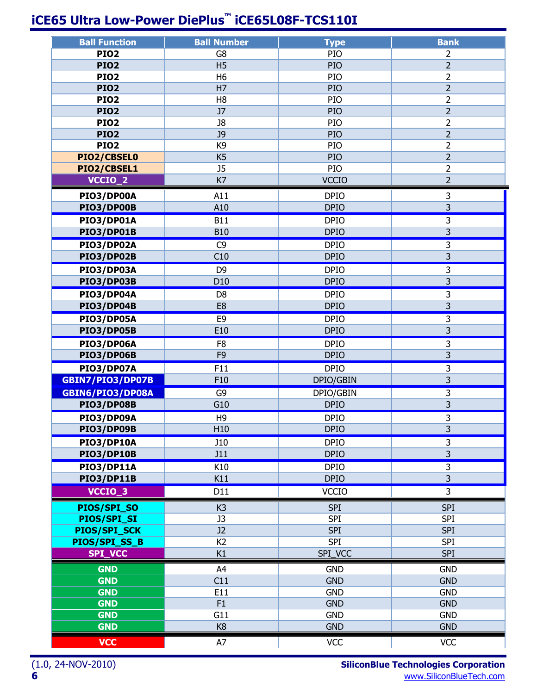# **iCE65 Ultra Low-Power DiePlus™ iCE65L08F-TCS110I**

| <b>Ball Function</b>          | <b>Ball Number</b>   | <b>Type</b>              | <b>Bank</b>              |  |  |
|-------------------------------|----------------------|--------------------------|--------------------------|--|--|
| <b>PIO2</b>                   | G8                   | PIO                      |                          |  |  |
| <b>PIO2</b>                   | <b>H5</b>            | PIO                      | $\overline{2}$           |  |  |
| <b>PIO2</b>                   | H <sub>6</sub>       | PIO                      | $\overline{2}$           |  |  |
| <b>PIO2</b>                   | H7                   | PIO                      | $\overline{2}$           |  |  |
| <b>PIO2</b>                   | H <sub>8</sub>       | PIO                      | $\overline{2}$           |  |  |
| <b>PIO2</b>                   | J7                   | PIO                      | $\overline{2}$           |  |  |
| <b>PIO2</b>                   | J8                   | PIO                      | $\overline{2}$           |  |  |
| <b>PIO2</b>                   | <b>J9</b>            | PIO                      | $\overline{2}$           |  |  |
| <b>PIO2</b>                   | K <sub>9</sub>       | PIO                      | $\overline{2}$           |  |  |
| PIO2/CBSEL0                   | K <sub>5</sub>       | PIO                      | $\overline{2}$           |  |  |
| PIO2/CBSEL1                   | J <sub>5</sub>       | PIO                      | $\overline{2}$           |  |  |
| VCCIO_2                       | K7                   | <b>VCCIO</b>             | $\overline{2}$           |  |  |
| PIO3/DP00A                    | A11                  | <b>DPIO</b>              | 3                        |  |  |
| PIO3/DP00B                    | A10                  | <b>DPIO</b>              | $\overline{3}$           |  |  |
| <b>PIO3/DP01A</b>             | <b>B11</b>           | <b>DPIO</b>              | 3                        |  |  |
| <b>PIO3/DP01B</b>             | <b>B10</b>           | <b>DPIO</b>              | $\overline{3}$           |  |  |
| <b>PIO3/DP02A</b>             | C <sub>9</sub>       | <b>DPIO</b>              | 3                        |  |  |
| <b>PIO3/DP02B</b>             | C10                  | <b>DPIO</b>              | $\overline{3}$           |  |  |
| <b>PIO3/DP03A</b>             | D <sub>9</sub>       | <b>DPIO</b>              | $\overline{3}$           |  |  |
|                               |                      |                          | $\overline{3}$           |  |  |
| PIO3/DP03B                    | D10                  | <b>DPIO</b>              |                          |  |  |
| <b>PIO3/DP04A</b>             | D <sub>8</sub>       | <b>DPIO</b>              | 3                        |  |  |
| PIO3/DP04B                    | E <sub>8</sub>       | <b>DPIO</b>              | $\overline{3}$           |  |  |
| <b>PIO3/DP05A</b>             | E <sub>9</sub>       | <b>DPIO</b>              | 3                        |  |  |
| <b>PIO3/DP05B</b>             | E10                  | <b>DPIO</b>              | $\overline{3}$           |  |  |
| <b>PIO3/DP06A</b>             | F <sub>8</sub>       | <b>DPIO</b>              | 3                        |  |  |
| <b>PIO3/DP06B</b>             | F <sub>9</sub>       | <b>DPIO</b>              | $\overline{3}$           |  |  |
| <b>PIO3/DP07A</b>             | $\overline{F11}$     | <b>DPIO</b>              | $\overline{3}$           |  |  |
| <b>GBIN7/PIO3/DP07B</b>       | F10                  | DPIO/GBIN                | $\overline{3}$           |  |  |
| GBIN6/PIO3/DP08A              | G <sub>9</sub>       | <b>DPIO/GBIN</b>         | $\overline{3}$           |  |  |
| <b>PIO3/DP08B</b>             | G10                  | <b>DPIO</b>              | $\overline{3}$           |  |  |
| <b>PIO3/DP09A</b>             | H <sub>9</sub>       | <b>DPIO</b>              | $\overline{3}$           |  |  |
| PIO3/DP09B                    | H <sub>10</sub>      | <b>DPIO</b>              | 3                        |  |  |
| <b>PIO3/DP10A</b>             | <b>J10</b>           | <b>DPIO</b>              | $\overline{3}$           |  |  |
| <b>PIO3/DP10B</b>             | J11                  | <b>DPIO</b>              | $\overline{3}$           |  |  |
| <b>PIO3/DP11A</b>             | K10                  | <b>DPIO</b>              | 3                        |  |  |
| <b>PIO3/DP11B</b>             | K11                  | <b>DPIO</b>              | $\overline{3}$           |  |  |
| VCCIO_3                       | D11                  | <b>VCCIO</b>             | $\overline{3}$           |  |  |
|                               |                      |                          |                          |  |  |
| PIOS/SPI_SO                   | K <sub>3</sub>       | <b>SPI</b>               | <b>SPI</b>               |  |  |
| PIOS/SPI_SI                   | J3                   | <b>SPI</b>               | <b>SPI</b>               |  |  |
| PIOS/SPI_SCK<br>PIOS/SPI_SS_B | J2<br>K <sub>2</sub> | <b>SPI</b><br><b>SPI</b> | <b>SPI</b><br><b>SPI</b> |  |  |
| <b>SPI_VCC</b>                | K1                   | SPI_VCC                  | <b>SPI</b>               |  |  |
|                               |                      |                          |                          |  |  |
| <b>GND</b>                    | A4                   | <b>GND</b>               | <b>GND</b>               |  |  |
| <b>GND</b>                    | C11                  | <b>GND</b>               | <b>GND</b>               |  |  |
| <b>GND</b>                    | E11                  | <b>GND</b>               | <b>GND</b>               |  |  |
| <b>GND</b>                    | F1                   | <b>GND</b>               | <b>GND</b>               |  |  |
| <b>GND</b>                    | G11                  | <b>GND</b>               | <b>GND</b>               |  |  |
| <b>GND</b>                    | K <sub>8</sub>       | <b>GND</b>               | <b>GND</b>               |  |  |
| <b>VCC</b>                    | A7                   | <b>VCC</b>               | <b>VCC</b>               |  |  |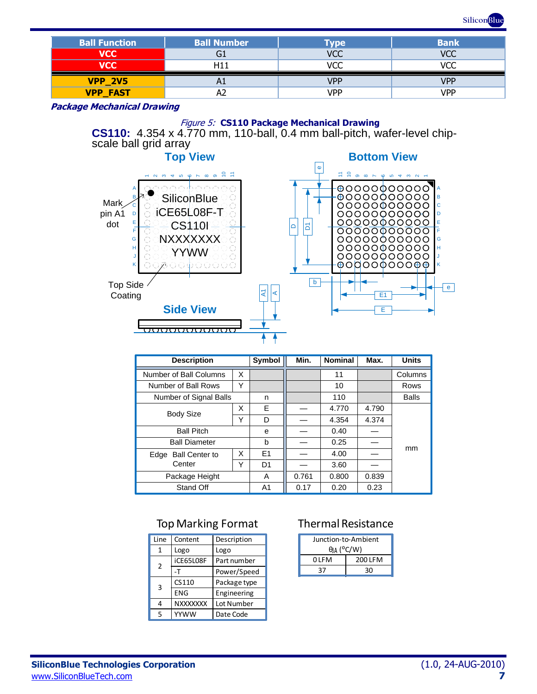

| <b>Ball Function</b> | <b>Ball Number</b> | Type       | <b>Bank</b> |
|----------------------|--------------------|------------|-------------|
| <b>VCC</b>           | G1                 | VCC        | VCC         |
| <b>VCC</b>           | -111               | חזו        | /CC         |
| <b>VPP 2V5</b>       | H <sub>1</sub>     | <b>VPP</b> | VPP         |
| <b>VPP FAST</b>      |                    | <b>VPP</b> | VPP         |

**Package Mechanical Drawing**

#### Figure 5: **CS110 Package Mechanical Drawing**

Al⋖  $\overline{\phantom{a}}$ 

**CS110:** 4.354 x 4.770 mm, 110-ball, 0.4 mm ball-pitch, wafer-level chipscale ball grid array





| <b>Description</b>            |   | Symbol         | Min.  | <b>Nominal</b> | Max.  | <b>Units</b> |
|-------------------------------|---|----------------|-------|----------------|-------|--------------|
| Number of Ball Columns        | X |                |       | 11             |       | Columns      |
| Number of Ball Rows           | Υ |                |       | 10             |       | Rows         |
| Number of Signal Balls        |   | n              |       | 110            |       | <b>Balls</b> |
|                               |   | F              |       | 4.770          | 4.790 |              |
| <b>Body Size</b>              | Υ | D              |       | 4.354          | 4.374 |              |
| <b>Ball Pitch</b>             |   | e              |       | 0.40           |       |              |
| <b>Ball Diameter</b>          |   | b              |       | 0.25           |       |              |
| <b>Ball Center to</b><br>Edge |   | E1             |       | 4.00           |       | mm           |
| Center                        | Y | D <sub>1</sub> |       | 3.60           |       |              |
| Package Height                |   | A              | 0.761 | 0.800          | 0.839 |              |
| Stand Off                     |   | A1             | 0.17  | 0.20           | 0.23  |              |

## Top Marking Format

| Line | Content         | Description  |
|------|-----------------|--------------|
| 1    | Logo            | Logo         |
| 2    | iCE65L08F       | Part number  |
|      | -т              | Power/Speed  |
| 3    | CS110           | Package type |
|      | ENG             | Engineering  |
| 4    | <b>NXXXXXXX</b> | Lot Number   |
| 5    | YYWW            | Date Code    |

## Thermal Resistance

| Junction-to-Ambient          |         |  |
|------------------------------|---------|--|
| $\theta$ IA ( $\degree$ C/W) |         |  |
| 0 I F M                      | 200 LFM |  |
| 37                           | 30      |  |